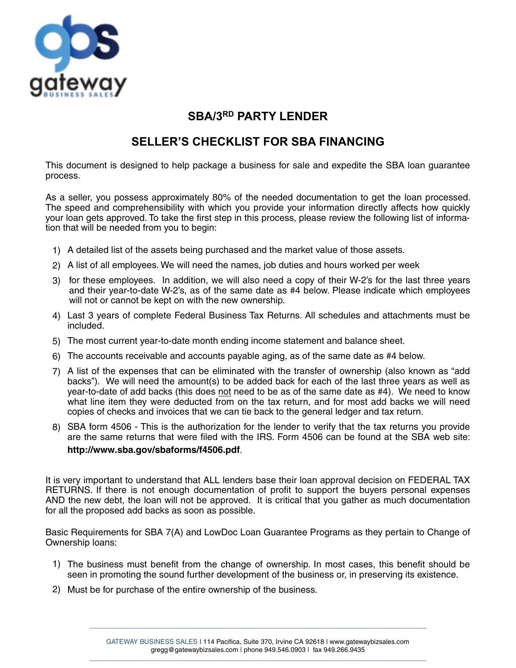

## **SBA/3RD PARTY LENDER**

## **SELLER'S CHECKLIST FOR SBA FINANCING**

This document is designed to help package a business for sale and expedite the SBA loan guarantee process.

As a seller, you possess approximately 80% of the needed documentation to get the loan processed. The speed and comprehensibility with which you provide your information directly affects how quickly your loan gets approved. To take the first step in this process, please review the following list of information that will be needed from you to begin:

- 1) A detailed list of the assets being purchased and the market value of those assets.
- 2) A list of all employees. We will need the names, job duties and hours worked per week
- 3) for these employees. In addition, we will also need a copy of their W-2's for the last three years and their year-to-date W-2's, as of the same date as #4 below. Please indicate which employees will not or cannot be kept on with the new ownership.
- 4) Last 3 years of complete Federal Business Tax Returns. All schedules and attachments must be included.
- 5) The most current year-to-date month ending income statement and balance sheet.
- 6) The accounts receivable and accounts payable aging, as of the same date as #4 below.
- 7) A list of the expenses that can be eliminated with the transfer of ownership (also known as "add backs"). We will need the amount(s) to be added back for each of the last three years as well as year-to-date of add backs (this does not need to be as of the same date as #4). We need to know what line item they were deducted from on the tax return, and for most add backs we will need copies of checks and invoices that we can tie back to the general ledger and tax return.
- 8) SBA form 4506 This is the authorization for the lender to verify that the tax returns you provide are the same returns that were filed with the IRS. Form 4506 can be found at the SBA web site: **http://www.sba.gov/sbaforms/f4506.pdf**.

It is very important to understand that ALL lenders base their loan approval decision on FEDERAL TAX RETURNS. If there is not enough documentation of profit to support the buyers personal expenses AND the new debt, the loan will not be approved. It is critical that you gather as much documentation for all the proposed add backs as soon as possible.

Basic Requirements for SBA 7(A) and LowDoc Loan Guarantee Programs as they pertain to Change of Ownership loans:

- 1) The business must benefit from the change of ownership. In most cases, this benefit should be seen in promoting the sound further development of the business or, in preserving its existence.
- 2) Must be for purchase of the entire ownership of the business.

\_\_\_\_\_\_\_\_\_\_\_\_\_\_\_\_\_\_\_\_\_\_\_\_\_\_\_\_\_\_\_\_\_\_\_\_\_\_\_\_\_\_\_\_\_\_\_\_\_\_\_\_\_\_\_\_\_\_\_\_\_\_\_\_\_\_\_\_\_\_\_\_\_\_\_\_\_\_\_\_